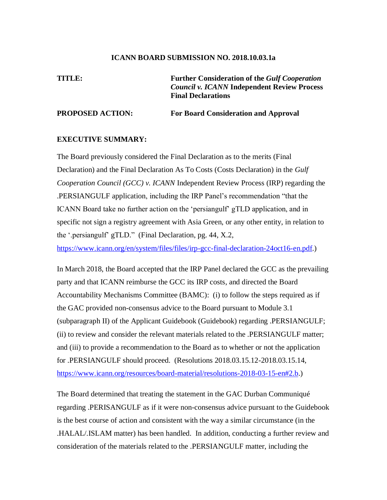#### **ICANN BOARD SUBMISSION NO. 2018.10.03.1a**

**TITLE: Further Consideration of the** *Gulf Cooperation Council v. ICANN* **Independent Review Process Final Declarations**

#### **PROPOSED ACTION: For Board Consideration and Approval**

#### **EXECUTIVE SUMMARY:**

The Board previously considered the Final Declaration as to the merits (Final Declaration) and the Final Declaration As To Costs (Costs Declaration) in the *Gulf Cooperation Council (GCC) v. ICANN* Independent Review Process (IRP) regarding the .PERSIANGULF application, including the IRP Panel's recommendation "that the ICANN Board take no further action on the 'persiangulf' gTLD application, and in specific not sign a registry agreement with Asia Green, or any other entity, in relation to the '.persiangulf' gTLD." (Final Declaration, pg. 44, X.2, https://www.icann.org/en/system/files/files/irp-gcc-final-declaration-24oct16-en.pdf.)

In March 2018, the Board accepted that the IRP Panel declared the GCC as the prevailing party and that ICANN reimburse the GCC its IRP costs, and directed the Board Accountability Mechanisms Committee (BAMC): (i) to follow the steps required as if the GAC provided non-consensus advice to the Board pursuant to Module 3.1 (subparagraph II) of the Applicant Guidebook (Guidebook) regarding .PERSIANGULF; (ii) to review and consider the relevant materials related to the .PERSIANGULF matter; and (iii) to provide a recommendation to the Board as to whether or not the application for .PERSIANGULF should proceed. (Resolutions 2018.03.15.12-2018.03.15.14, https://www.icann.org/resources/board-material/resolutions-2018-03-15-en#2.b.)

The Board determined that treating the statement in the GAC Durban Communiqué regarding .PERISANGULF as if it were non-consensus advice pursuant to the Guidebook is the best course of action and consistent with the way a similar circumstance (in the .HALAL/.ISLAM matter) has been handled. In addition, conducting a further review and consideration of the materials related to the .PERSIANGULF matter, including the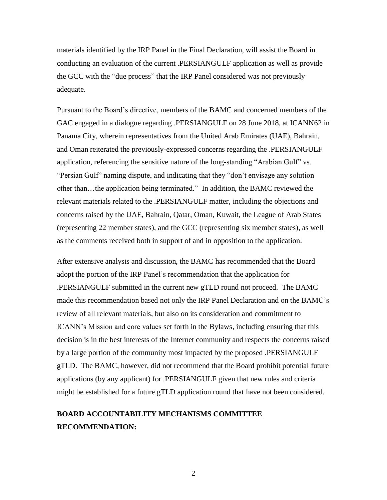materials identified by the IRP Panel in the Final Declaration, will assist the Board in conducting an evaluation of the current .PERSIANGULF application as well as provide the GCC with the "due process" that the IRP Panel considered was not previously adequate.

Pursuant to the Board's directive, members of the BAMC and concerned members of the GAC engaged in a dialogue regarding .PERSIANGULF on 28 June 2018, at ICANN62 in Panama City, wherein representatives from the United Arab Emirates (UAE), Bahrain, and Oman reiterated the previously-expressed concerns regarding the .PERSIANGULF application, referencing the sensitive nature of the long-standing "Arabian Gulf" vs. "Persian Gulf" naming dispute, and indicating that they "don't envisage any solution other than…the application being terminated." In addition, the BAMC reviewed the relevant materials related to the .PERSIANGULF matter, including the objections and concerns raised by the UAE, Bahrain, Qatar, Oman, Kuwait, the League of Arab States (representing 22 member states), and the GCC (representing six member states), as well as the comments received both in support of and in opposition to the application.

After extensive analysis and discussion, the BAMC has recommended that the Board adopt the portion of the IRP Panel's recommendation that the application for .PERSIANGULF submitted in the current new gTLD round not proceed. The BAMC made this recommendation based not only the IRP Panel Declaration and on the BAMC's review of all relevant materials, but also on its consideration and commitment to ICANN's Mission and core values set forth in the Bylaws, including ensuring that this decision is in the best interests of the Internet community and respects the concerns raised by a large portion of the community most impacted by the proposed .PERSIANGULF gTLD. The BAMC, however, did not recommend that the Board prohibit potential future applications (by any applicant) for .PERSIANGULF given that new rules and criteria might be established for a future gTLD application round that have not been considered.

# **BOARD ACCOUNTABILITY MECHANISMS COMMITTEE RECOMMENDATION:**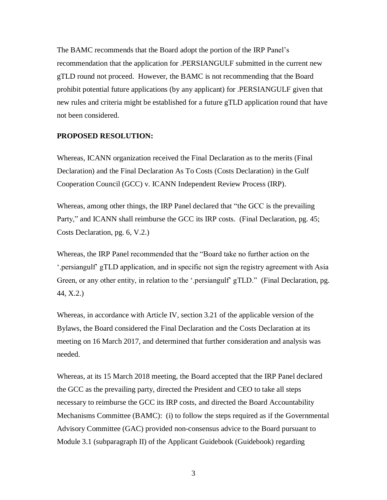The BAMC recommends that the Board adopt the portion of the IRP Panel's recommendation that the application for .PERSIANGULF submitted in the current new gTLD round not proceed. However, the BAMC is not recommending that the Board prohibit potential future applications (by any applicant) for .PERSIANGULF given that new rules and criteria might be established for a future gTLD application round that have not been considered.

#### **PROPOSED RESOLUTION:**

Whereas, ICANN organization received the Final Declaration as to the merits (Final Declaration) and the Final Declaration As To Costs (Costs Declaration) in the Gulf Cooperation Council (GCC) v. ICANN Independent Review Process (IRP).

Whereas, among other things, the IRP Panel declared that "the GCC is the prevailing Party," and ICANN shall reimburse the GCC its IRP costs. (Final Declaration, pg. 45; Costs Declaration, pg. 6, V.2.)

Whereas, the IRP Panel recommended that the "Board take no further action on the '.persiangulf' gTLD application, and in specific not sign the registry agreement with Asia Green, or any other entity, in relation to the '.persiangulf' gTLD." (Final Declaration, pg. 44, X.2.)

Whereas, in accordance with Article IV, section 3.21 of the applicable version of the Bylaws, the Board considered the Final Declaration and the Costs Declaration at its meeting on 16 March 2017, and determined that further consideration and analysis was needed.

Whereas, at its 15 March 2018 meeting, the Board accepted that the IRP Panel declared the GCC as the prevailing party, directed the President and CEO to take all steps necessary to reimburse the GCC its IRP costs, and directed the Board Accountability Mechanisms Committee (BAMC): (i) to follow the steps required as if the Governmental Advisory Committee (GAC) provided non-consensus advice to the Board pursuant to Module 3.1 (subparagraph II) of the Applicant Guidebook (Guidebook) regarding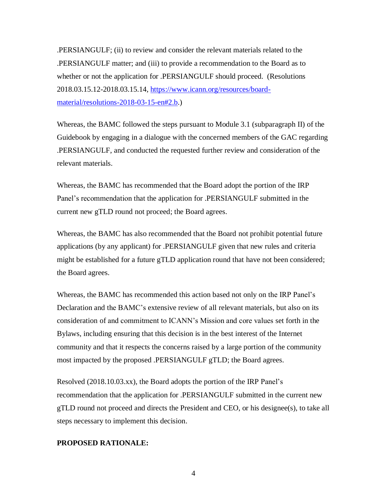.PERSIANGULF; (ii) to review and consider the relevant materials related to the .PERSIANGULF matter; and (iii) to provide a recommendation to the Board as to whether or not the application for .PERSIANGULF should proceed. (Resolutions 2018.03.15.12-2018.03.15.14, https://www.icann.org/resources/boardmaterial/resolutions-2018-03-15-en#2.b.)

Whereas, the BAMC followed the steps pursuant to Module 3.1 (subparagraph II) of the Guidebook by engaging in a dialogue with the concerned members of the GAC regarding .PERSIANGULF, and conducted the requested further review and consideration of the relevant materials.

Whereas, the BAMC has recommended that the Board adopt the portion of the IRP Panel's recommendation that the application for .PERSIANGULF submitted in the current new gTLD round not proceed; the Board agrees.

Whereas, the BAMC has also recommended that the Board not prohibit potential future applications (by any applicant) for .PERSIANGULF given that new rules and criteria might be established for a future gTLD application round that have not been considered; the Board agrees.

Whereas, the BAMC has recommended this action based not only on the IRP Panel's Declaration and the BAMC's extensive review of all relevant materials, but also on its consideration of and commitment to ICANN's Mission and core values set forth in the Bylaws, including ensuring that this decision is in the best interest of the Internet community and that it respects the concerns raised by a large portion of the community most impacted by the proposed .PERSIANGULF gTLD; the Board agrees.

Resolved (2018.10.03.xx), the Board adopts the portion of the IRP Panel's recommendation that the application for .PERSIANGULF submitted in the current new gTLD round not proceed and directs the President and CEO, or his designee(s), to take all steps necessary to implement this decision.

#### **PROPOSED RATIONALE:**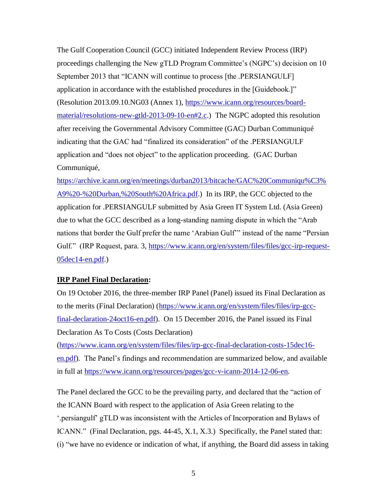The Gulf Cooperation Council (GCC) initiated Independent Review Process (IRP) proceedings challenging the New gTLD Program Committee's (NGPC's) decision on 10 September 2013 that "ICANN will continue to process [the .PERSIANGULF] application in accordance with the established procedures in the [Guidebook.]" (Resolution 2013.09.10.NG03 (Annex 1), https://www.icann.org/resources/boardmaterial/resolutions-new-gtld-2013-09-10-en#2.c.) The NGPC adopted this resolution after receiving the Governmental Advisory Committee (GAC) Durban Communiqué indicating that the GAC had "finalized its consideration" of the .PERSIANGULF application and "does not object" to the application proceeding. (GAC Durban Communiqué,

https://archive.icann.org/en/meetings/durban2013/bitcache/GAC%20Communiqu%C3% A9%20-%20Durban,%20South%20Africa.pdf.) In its IRP, the GCC objected to the application for .PERSIANGULF submitted by Asia Green IT System Ltd. (Asia Green) due to what the GCC described as a long-standing naming dispute in which the "Arab nations that border the Gulf prefer the name 'Arabian Gulf'" instead of the name "Persian Gulf." (IRP Request, para. 3, https://www.icann.org/en/system/files/files/gcc-irp-request-05dec14-en.pdf.)

## **IRP Panel Final Declaration:**

On 19 October 2016, the three-member IRP Panel (Panel) issued its Final Declaration as to the merits (Final Declaration) (https://www.icann.org/en/system/files/files/irp-gccfinal-declaration-24oct16-en.pdf). On 15 December 2016, the Panel issued its Final Declaration As To Costs (Costs Declaration)

(https://www.icann.org/en/system/files/files/irp-gcc-final-declaration-costs-15dec16 en.pdf). The Panel's findings and recommendation are summarized below, and available in full at https://www.icann.org/resources/pages/gcc-v-icann-2014-12-06-en.

The Panel declared the GCC to be the prevailing party, and declared that the "action of the ICANN Board with respect to the application of Asia Green relating to the '.persiangulf' gTLD was inconsistent with the Articles of Incorporation and Bylaws of ICANN." (Final Declaration, pgs. 44-45, X.1, X.3.) Specifically, the Panel stated that: (i) "we have no evidence or indication of what, if anything, the Board did assess in taking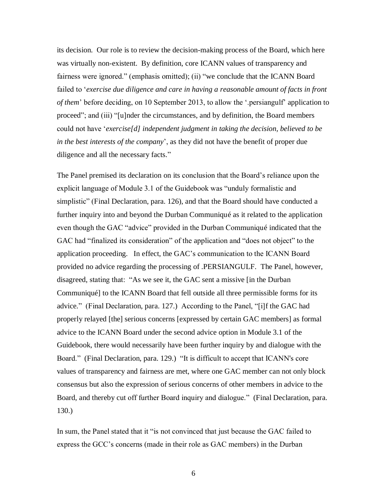its decision. Our role is to review the decision-making process of the Board, which here was virtually non-existent. By definition, core ICANN values of transparency and fairness were ignored." (emphasis omitted); (ii) "we conclude that the ICANN Board failed to '*exercise due diligence and care in having a reasonable amount of facts in front of them*' before deciding, on 10 September 2013, to allow the '.persiangulf' application to proceed"; and (iii) "[u]nder the circumstances, and by definition, the Board members could not have '*exercise[d] independent judgment in taking the decision, believed to be in the best interests of the company*', as they did not have the benefit of proper due diligence and all the necessary facts."

The Panel premised its declaration on its conclusion that the Board's reliance upon the explicit language of Module 3.1 of the Guidebook was "unduly formalistic and simplistic" (Final Declaration, para. 126), and that the Board should have conducted a further inquiry into and beyond the Durban Communiqué as it related to the application even though the GAC "advice" provided in the Durban Communiqué indicated that the GAC had "finalized its consideration" of the application and "does not object" to the application proceeding. In effect, the GAC's communication to the ICANN Board provided no advice regarding the processing of .PERSIANGULF. The Panel, however, disagreed, stating that: "As we see it, the GAC sent a missive [in the Durban Communiqué] to the ICANN Board that fell outside all three permissible forms for its advice." (Final Declaration, para. 127.) According to the Panel, "[i]f the GAC had properly relayed [the] serious concerns [expressed by certain GAC members] as formal advice to the ICANN Board under the second advice option in Module 3.1 of the Guidebook, there would necessarily have been further inquiry by and dialogue with the Board." (Final Declaration, para. 129.) "It is difficult to accept that ICANN's core values of transparency and fairness are met, where one GAC member can not only block consensus but also the expression of serious concerns of other members in advice to the Board, and thereby cut off further Board inquiry and dialogue." (Final Declaration, para. 130.)

In sum, the Panel stated that it "is not convinced that just because the GAC failed to express the GCC's concerns (made in their role as GAC members) in the Durban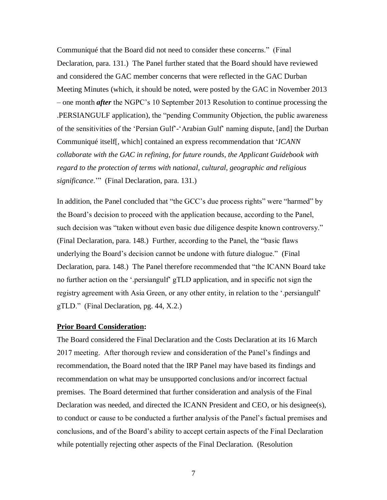Communiqué that the Board did not need to consider these concerns." (Final Declaration, para. 131.) The Panel further stated that the Board should have reviewed and considered the GAC member concerns that were reflected in the GAC Durban Meeting Minutes (which, it should be noted, were posted by the GAC in November 2013 – one month *after* the NGPC's 10 September 2013 Resolution to continue processing the .PERSIANGULF application), the "pending Community Objection, the public awareness of the sensitivities of the 'Persian Gulf'-'Arabian Gulf' naming dispute, [and] the Durban Communiqué itself[, which] contained an express recommendation that '*ICANN collaborate with the GAC in refining, for future rounds, the Applicant Guidebook with regard to the protection of terms with national, cultural, geographic and religious significance*.'" (Final Declaration, para. 131.)

In addition, the Panel concluded that "the GCC's due process rights" were "harmed" by the Board's decision to proceed with the application because, according to the Panel, such decision was "taken without even basic due diligence despite known controversy." (Final Declaration, para. 148.) Further, according to the Panel, the "basic flaws underlying the Board's decision cannot be undone with future dialogue." (Final Declaration, para. 148.) The Panel therefore recommended that "the ICANN Board take no further action on the '.persiangulf' gTLD application, and in specific not sign the registry agreement with Asia Green, or any other entity, in relation to the '.persiangulf' gTLD." (Final Declaration, pg. 44, X.2.)

#### **Prior Board Consideration:**

The Board considered the Final Declaration and the Costs Declaration at its 16 March 2017 meeting. After thorough review and consideration of the Panel's findings and recommendation, the Board noted that the IRP Panel may have based its findings and recommendation on what may be unsupported conclusions and/or incorrect factual premises. The Board determined that further consideration and analysis of the Final Declaration was needed, and directed the ICANN President and CEO, or his designee(s), to conduct or cause to be conducted a further analysis of the Panel's factual premises and conclusions, and of the Board's ability to accept certain aspects of the Final Declaration while potentially rejecting other aspects of the Final Declaration. (Resolution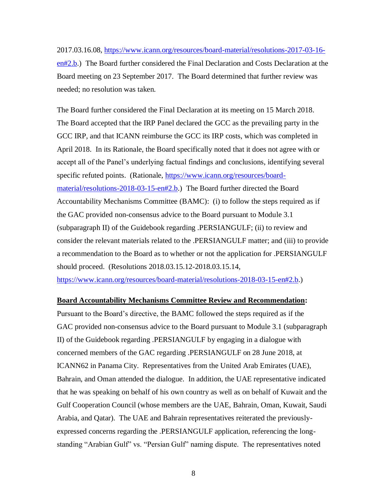2017.03.16.08, https://www.icann.org/resources/board-material/resolutions-2017-03-16 en#2.b.) The Board further considered the Final Declaration and Costs Declaration at the Board meeting on 23 September 2017. The Board determined that further review was needed; no resolution was taken.

The Board further considered the Final Declaration at its meeting on 15 March 2018. The Board accepted that the IRP Panel declared the GCC as the prevailing party in the GCC IRP, and that ICANN reimburse the GCC its IRP costs, which was completed in April 2018. In its Rationale, the Board specifically noted that it does not agree with or accept all of the Panel's underlying factual findings and conclusions, identifying several specific refuted points. (Rationale, https://www.icann.org/resources/boardmaterial/resolutions-2018-03-15-en#2.b.) The Board further directed the Board Accountability Mechanisms Committee (BAMC): (i) to follow the steps required as if the GAC provided non-consensus advice to the Board pursuant to Module 3.1 (subparagraph II) of the Guidebook regarding .PERSIANGULF; (ii) to review and consider the relevant materials related to the .PERSIANGULF matter; and (iii) to provide a recommendation to the Board as to whether or not the application for .PERSIANGULF should proceed. (Resolutions 2018.03.15.12-2018.03.15.14,

https://www.icann.org/resources/board-material/resolutions-2018-03-15-en#2.b.)

#### **Board Accountability Mechanisms Committee Review and Recommendation:**

Pursuant to the Board's directive, the BAMC followed the steps required as if the GAC provided non-consensus advice to the Board pursuant to Module 3.1 (subparagraph II) of the Guidebook regarding .PERSIANGULF by engaging in a dialogue with concerned members of the GAC regarding .PERSIANGULF on 28 June 2018, at ICANN62 in Panama City. Representatives from the United Arab Emirates (UAE), Bahrain, and Oman attended the dialogue. In addition, the UAE representative indicated that he was speaking on behalf of his own country as well as on behalf of Kuwait and the Gulf Cooperation Council (whose members are the UAE, Bahrain, Oman, Kuwait, Saudi Arabia, and Qatar). The UAE and Bahrain representatives reiterated the previouslyexpressed concerns regarding the .PERSIANGULF application, referencing the longstanding "Arabian Gulf" vs. "Persian Gulf" naming dispute. The representatives noted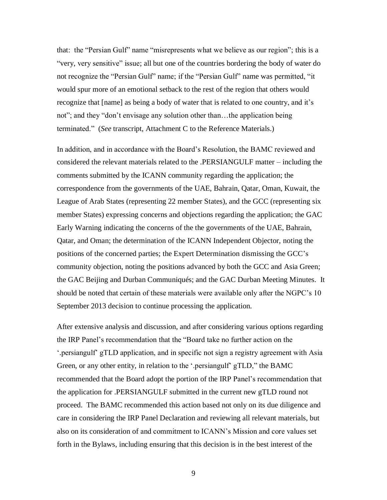that: the "Persian Gulf" name "misrepresents what we believe as our region"; this is a "very, very sensitive" issue; all but one of the countries bordering the body of water do not recognize the "Persian Gulf" name; if the "Persian Gulf" name was permitted, "it would spur more of an emotional setback to the rest of the region that others would recognize that [name] as being a body of water that is related to one country, and it's not"; and they "don't envisage any solution other than…the application being terminated." (*See* transcript, Attachment C to the Reference Materials.)

In addition, and in accordance with the Board's Resolution, the BAMC reviewed and considered the relevant materials related to the .PERSIANGULF matter – including the comments submitted by the ICANN community regarding the application; the correspondence from the governments of the UAE, Bahrain, Qatar, Oman, Kuwait, the League of Arab States (representing 22 member States), and the GCC (representing six member States) expressing concerns and objections regarding the application; the GAC Early Warning indicating the concerns of the the governments of the UAE, Bahrain, Qatar, and Oman; the determination of the ICANN Independent Objector, noting the positions of the concerned parties; the Expert Determination dismissing the GCC's community objection, noting the positions advanced by both the GCC and Asia Green; the GAC Beijing and Durban Communiqués; and the GAC Durban Meeting Minutes. It should be noted that certain of these materials were available only after the NGPC's 10 September 2013 decision to continue processing the application.

After extensive analysis and discussion, and after considering various options regarding the IRP Panel's recommendation that the "Board take no further action on the '.persiangulf' gTLD application, and in specific not sign a registry agreement with Asia Green, or any other entity, in relation to the '.persiangulf' gTLD," the BAMC recommended that the Board adopt the portion of the IRP Panel's recommendation that the application for .PERSIANGULF submitted in the current new gTLD round not proceed. The BAMC recommended this action based not only on its due diligence and care in considering the IRP Panel Declaration and reviewing all relevant materials, but also on its consideration of and commitment to ICANN's Mission and core values set forth in the Bylaws, including ensuring that this decision is in the best interest of the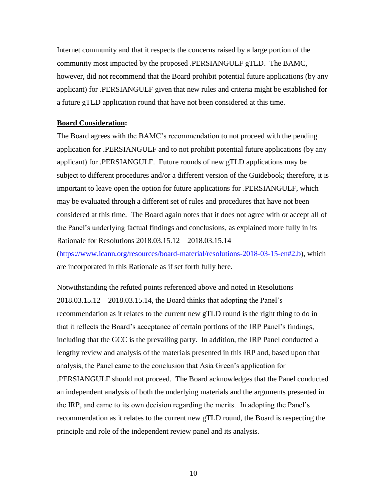Internet community and that it respects the concerns raised by a large portion of the community most impacted by the proposed .PERSIANGULF gTLD. The BAMC, however, did not recommend that the Board prohibit potential future applications (by any applicant) for .PERSIANGULF given that new rules and criteria might be established for a future gTLD application round that have not been considered at this time.

#### **Board Consideration:**

The Board agrees with the BAMC's recommendation to not proceed with the pending application for .PERSIANGULF and to not prohibit potential future applications (by any applicant) for .PERSIANGULF. Future rounds of new gTLD applications may be subject to different procedures and/or a different version of the Guidebook; therefore, it is important to leave open the option for future applications for .PERSIANGULF, which may be evaluated through a different set of rules and procedures that have not been considered at this time. The Board again notes that it does not agree with or accept all of the Panel's underlying factual findings and conclusions, as explained more fully in its Rationale for Resolutions 2018.03.15.12 – 2018.03.15.14

(https://www.icann.org/resources/board-material/resolutions-2018-03-15-en#2.b), which are incorporated in this Rationale as if set forth fully here.

Notwithstanding the refuted points referenced above and noted in Resolutions 2018.03.15.12 – 2018.03.15.14, the Board thinks that adopting the Panel's recommendation as it relates to the current new gTLD round is the right thing to do in that it reflects the Board's acceptance of certain portions of the IRP Panel's findings, including that the GCC is the prevailing party. In addition, the IRP Panel conducted a lengthy review and analysis of the materials presented in this IRP and, based upon that analysis, the Panel came to the conclusion that Asia Green's application for .PERSIANGULF should not proceed. The Board acknowledges that the Panel conducted an independent analysis of both the underlying materials and the arguments presented in the IRP, and came to its own decision regarding the merits. In adopting the Panel's recommendation as it relates to the current new gTLD round, the Board is respecting the principle and role of the independent review panel and its analysis.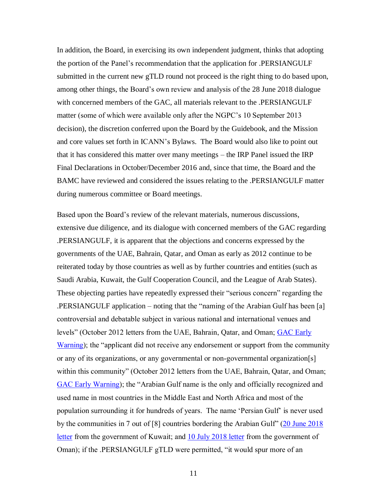In addition, the Board, in exercising its own independent judgment, thinks that adopting the portion of the Panel's recommendation that the application for .PERSIANGULF submitted in the current new gTLD round not proceed is the right thing to do based upon, among other things, the Board's own review and analysis of the 28 June 2018 dialogue with concerned members of the GAC, all materials relevant to the .PERSIANGULF matter (some of which were available only after the NGPC's 10 September 2013 decision), the discretion conferred upon the Board by the Guidebook, and the Mission and core values set forth in ICANN's Bylaws. The Board would also like to point out that it has considered this matter over many meetings – the IRP Panel issued the IRP Final Declarations in October/December 2016 and, since that time, the Board and the BAMC have reviewed and considered the issues relating to the .PERSIANGULF matter during numerous committee or Board meetings.

Based upon the Board's review of the relevant materials, numerous discussions, extensive due diligence, and its dialogue with concerned members of the GAC regarding .PERSIANGULF, it is apparent that the objections and concerns expressed by the governments of the UAE, Bahrain, Qatar, and Oman as early as 2012 continue to be reiterated today by those countries as well as by further countries and entities (such as Saudi Arabia, Kuwait, the Gulf Cooperation Council, and the League of Arab States). These objecting parties have repeatedly expressed their "serious concern" regarding the .PERSIANGULF application – noting that the "naming of the Arabian Gulf has been [a] controversial and debatable subject in various national and international venues and levels" (October 2012 letters from the UAE, Bahrain, Qatar, and Oman; GAC Early Warning); the "applicant did not receive any endorsement or support from the community or any of its organizations, or any governmental or non-governmental organization[s] within this community" (October 2012 letters from the UAE, Bahrain, Qatar, and Oman; GAC Early Warning); the "Arabian Gulf name is the only and officially recognized and used name in most countries in the Middle East and North Africa and most of the population surrounding it for hundreds of years. The name 'Persian Gulf' is never used by the communities in 7 out of [8] countries bordering the Arabian Gulf" (20 June 2018) letter from the government of Kuwait; and 10 July 2018 letter from the government of Oman); if the .PERSIANGULF gTLD were permitted, "it would spur more of an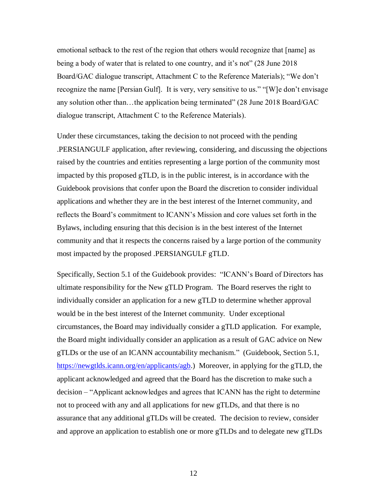emotional setback to the rest of the region that others would recognize that [name] as being a body of water that is related to one country, and it's not" (28 June 2018 Board/GAC dialogue transcript, Attachment C to the Reference Materials); "We don't recognize the name [Persian Gulf]. It is very, very sensitive to us." "[W]e don't envisage any solution other than…the application being terminated" (28 June 2018 Board/GAC dialogue transcript, Attachment C to the Reference Materials).

Under these circumstances, taking the decision to not proceed with the pending .PERSIANGULF application, after reviewing, considering, and discussing the objections raised by the countries and entities representing a large portion of the community most impacted by this proposed gTLD, is in the public interest, is in accordance with the Guidebook provisions that confer upon the Board the discretion to consider individual applications and whether they are in the best interest of the Internet community, and reflects the Board's commitment to ICANN's Mission and core values set forth in the Bylaws, including ensuring that this decision is in the best interest of the Internet community and that it respects the concerns raised by a large portion of the community most impacted by the proposed .PERSIANGULF gTLD.

Specifically, Section 5.1 of the Guidebook provides: "ICANN's Board of Directors has ultimate responsibility for the New gTLD Program. The Board reserves the right to individually consider an application for a new gTLD to determine whether approval would be in the best interest of the Internet community. Under exceptional circumstances, the Board may individually consider a gTLD application. For example, the Board might individually consider an application as a result of GAC advice on New gTLDs or the use of an ICANN accountability mechanism." (Guidebook, Section 5.1, https://newgtlds.icann.org/en/applicants/agb.) Moreover, in applying for the gTLD, the applicant acknowledged and agreed that the Board has the discretion to make such a decision – "Applicant acknowledges and agrees that ICANN has the right to determine not to proceed with any and all applications for new gTLDs, and that there is no assurance that any additional gTLDs will be created. The decision to review, consider and approve an application to establish one or more gTLDs and to delegate new gTLDs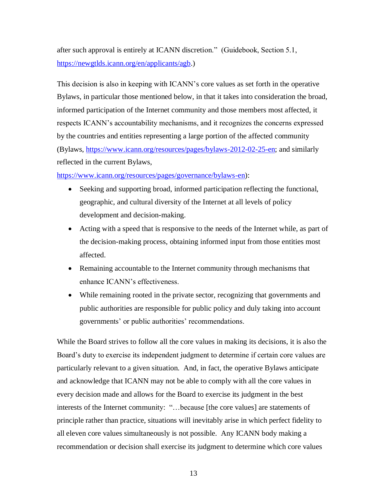after such approval is entirely at ICANN discretion." (Guidebook, Section 5.1, https://newgtlds.icann.org/en/applicants/agb.)

This decision is also in keeping with ICANN's core values as set forth in the operative Bylaws, in particular those mentioned below, in that it takes into consideration the broad, informed participation of the Internet community and those members most affected, it respects ICANN's accountability mechanisms, and it recognizes the concerns expressed by the countries and entities representing a large portion of the affected community (Bylaws, https://www.icann.org/resources/pages/bylaws-2012-02-25-en; and similarly reflected in the current Bylaws,

https://www.icann.org/resources/pages/governance/bylaws-en):

- Seeking and supporting broad, informed participation reflecting the functional, geographic, and cultural diversity of the Internet at all levels of policy development and decision-making.
- Acting with a speed that is responsive to the needs of the Internet while, as part of the decision-making process, obtaining informed input from those entities most affected.
- Remaining accountable to the Internet community through mechanisms that enhance ICANN's effectiveness.
- While remaining rooted in the private sector, recognizing that governments and public authorities are responsible for public policy and duly taking into account governments' or public authorities' recommendations.

While the Board strives to follow all the core values in making its decisions, it is also the Board's duty to exercise its independent judgment to determine if certain core values are particularly relevant to a given situation. And, in fact, the operative Bylaws anticipate and acknowledge that ICANN may not be able to comply with all the core values in every decision made and allows for the Board to exercise its judgment in the best interests of the Internet community: "…because [the core values] are statements of principle rather than practice, situations will inevitably arise in which perfect fidelity to all eleven core values simultaneously is not possible. Any ICANN body making a recommendation or decision shall exercise its judgment to determine which core values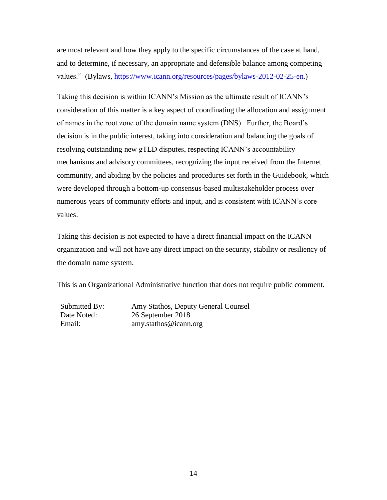are most relevant and how they apply to the specific circumstances of the case at hand, and to determine, if necessary, an appropriate and defensible balance among competing values." (Bylaws, https://www.icann.org/resources/pages/bylaws-2012-02-25-en.)

Taking this decision is within ICANN's Mission as the ultimate result of ICANN's consideration of this matter is a key aspect of coordinating the allocation and assignment of names in the root zone of the domain name system (DNS). Further, the Board's decision is in the public interest, taking into consideration and balancing the goals of resolving outstanding new gTLD disputes, respecting ICANN's accountability mechanisms and advisory committees, recognizing the input received from the Internet community, and abiding by the policies and procedures set forth in the Guidebook, which were developed through a bottom-up consensus-based multistakeholder process over numerous years of community efforts and input, and is consistent with ICANN's core values.

Taking this decision is not expected to have a direct financial impact on the ICANN organization and will not have any direct impact on the security, stability or resiliency of the domain name system.

This is an Organizational Administrative function that does not require public comment.

Submitted By: Amy Stathos, Deputy General Counsel Date Noted: 26 September 2018 Email: amy.stathos@icann.org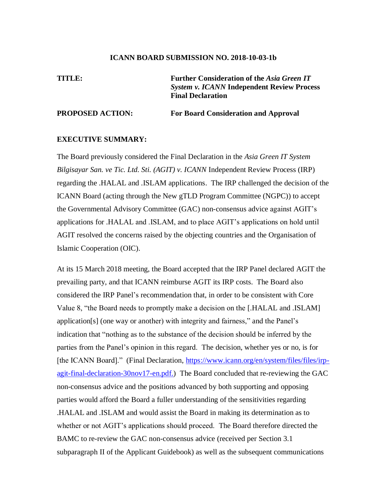#### **ICANN BOARD SUBMISSION NO. 2018-10-03-1b**

**TITLE: Further Consideration of the** *Asia Green IT System v. ICANN* **Independent Review Process Final Declaration** 

#### **PROPOSED ACTION: For Board Consideration and Approval**

#### **EXECUTIVE SUMMARY:**

The Board previously considered the Final Declaration in the *Asia Green IT System Bilgisayar San. ve Tic. Ltd. Sti. (AGIT) v. ICANN* Independent Review Process (IRP) regarding the .HALAL and .ISLAM applications. The IRP challenged the decision of the ICANN Board (acting through the New gTLD Program Committee (NGPC)) to accept the Governmental Advisory Committee (GAC) non-consensus advice against AGIT's applications for .HALAL and .ISLAM, and to place AGIT's applications on hold until AGIT resolved the concerns raised by the objecting countries and the Organisation of Islamic Cooperation (OIC).

At its 15 March 2018 meeting, the Board accepted that the IRP Panel declared AGIT the prevailing party, and that ICANN reimburse AGIT its IRP costs. The Board also considered the IRP Panel's recommendation that, in order to be consistent with Core Value 8, "the Board needs to promptly make a decision on the [.HALAL and .ISLAM] application[s] (one way or another) with integrity and fairness," and the Panel's indication that "nothing as to the substance of the decision should be inferred by the parties from the Panel's opinion in this regard. The decision, whether yes or no, is for [the ICANN Board]." (Final Declaration, https://www.icann.org/en/system/files/files/irpagit-final-declaration-30nov17-en.pdf.) The Board concluded that re-reviewing the GAC non-consensus advice and the positions advanced by both supporting and opposing parties would afford the Board a fuller understanding of the sensitivities regarding .HALAL and .ISLAM and would assist the Board in making its determination as to whether or not AGIT's applications should proceed. The Board therefore directed the BAMC to re-review the GAC non-consensus advice (received per Section 3.1 subparagraph II of the Applicant Guidebook) as well as the subsequent communications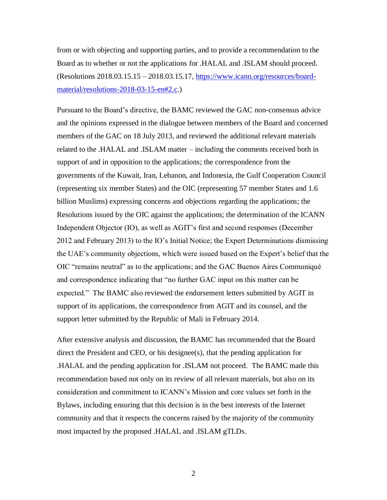from or with objecting and supporting parties, and to provide a recommendation to the Board as to whether or not the applications for .HALAL and .ISLAM should proceed. (Resolutions 2018.03.15.15 – 2018.03.15.17, https://www.icann.org/resources/boardmaterial/resolutions-2018-03-15-en#2.c.)

Pursuant to the Board's directive, the BAMC reviewed the GAC non-consensus advice and the opinions expressed in the dialogue between members of the Board and concerned members of the GAC on 18 July 2013, and reviewed the additional relevant materials related to the .HALAL and .ISLAM matter – including the comments received both in support of and in opposition to the applications; the correspondence from the governments of the Kuwait, Iran, Lebanon, and Indonesia, the Gulf Cooperation Council (representing six member States) and the OIC (representing 57 member States and 1.6 billion Muslims) expressing concerns and objections regarding the applications; the Resolutions issued by the OIC against the applications; the determination of the ICANN Independent Objector (IO), as well as AGIT's first and second responses (December 2012 and February 2013) to the IO's Initial Notice; the Expert Determinations dismissing the UAE's community objections, which were issued based on the Expert's belief that the OIC "remains neutral" as to the applications; and the GAC Buenos Aires Communiqué and correspondence indicating that "no further GAC input on this matter can be expected." The BAMC also reviewed the endorsement letters submitted by AGIT in support of its applications, the correspondence from AGIT and its counsel, and the support letter submitted by the Republic of Mali in February 2014.

After extensive analysis and discussion, the BAMC has recommended that the Board direct the President and CEO, or his designee(s), that the pending application for .HALAL and the pending application for .ISLAM not proceed. The BAMC made this recommendation based not only on its review of all relevant materials, but also on its consideration and commitment to ICANN's Mission and core values set forth in the Bylaws, including ensuring that this decision is in the best interests of the Internet community and that it respects the concerns raised by the majority of the community most impacted by the proposed .HALAL and .ISLAM gTLDs.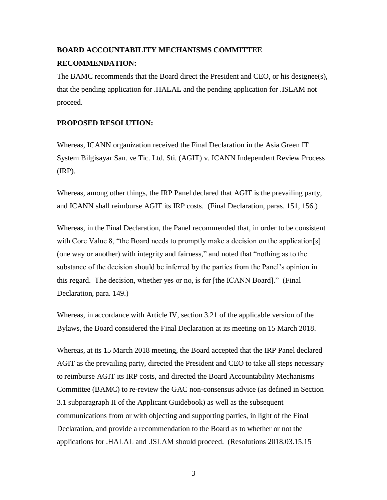# **BOARD ACCOUNTABILITY MECHANISMS COMMITTEE RECOMMENDATION:**

The BAMC recommends that the Board direct the President and CEO, or his designee(s), that the pending application for .HALAL and the pending application for .ISLAM not proceed.

## **PROPOSED RESOLUTION:**

Whereas, ICANN organization received the Final Declaration in the Asia Green IT System Bilgisayar San. ve Tic. Ltd. Sti. (AGIT) v. ICANN Independent Review Process (IRP).

Whereas, among other things, the IRP Panel declared that AGIT is the prevailing party, and ICANN shall reimburse AGIT its IRP costs. (Final Declaration, paras. 151, 156.)

Whereas, in the Final Declaration, the Panel recommended that, in order to be consistent with Core Value 8, "the Board needs to promptly make a decision on the application[s] (one way or another) with integrity and fairness," and noted that "nothing as to the substance of the decision should be inferred by the parties from the Panel's opinion in this regard. The decision, whether yes or no, is for [the ICANN Board]." (Final Declaration, para. 149.)

Whereas, in accordance with Article IV, section 3.21 of the applicable version of the Bylaws, the Board considered the Final Declaration at its meeting on 15 March 2018.

Whereas, at its 15 March 2018 meeting, the Board accepted that the IRP Panel declared AGIT as the prevailing party, directed the President and CEO to take all steps necessary to reimburse AGIT its IRP costs, and directed the Board Accountability Mechanisms Committee (BAMC) to re-review the GAC non-consensus advice (as defined in Section 3.1 subparagraph II of the Applicant Guidebook) as well as the subsequent communications from or with objecting and supporting parties, in light of the Final Declaration, and provide a recommendation to the Board as to whether or not the applications for .HALAL and .ISLAM should proceed. (Resolutions 2018.03.15.15 –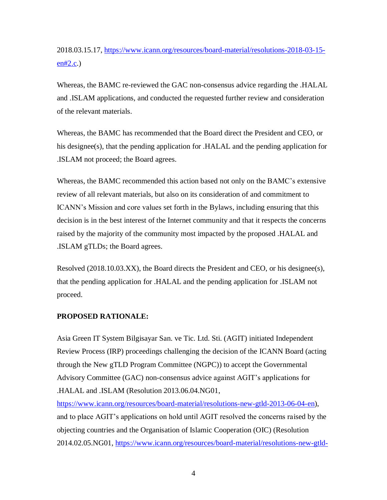# 2018.03.15.17, https://www.icann.org/resources/board-material/resolutions-2018-03-15  $en#2.c.)$

Whereas, the BAMC re-reviewed the GAC non-consensus advice regarding the .HALAL and .ISLAM applications, and conducted the requested further review and consideration of the relevant materials.

Whereas, the BAMC has recommended that the Board direct the President and CEO, or his designee(s), that the pending application for .HALAL and the pending application for .ISLAM not proceed; the Board agrees.

Whereas, the BAMC recommended this action based not only on the BAMC's extensive review of all relevant materials, but also on its consideration of and commitment to ICANN's Mission and core values set forth in the Bylaws, including ensuring that this decision is in the best interest of the Internet community and that it respects the concerns raised by the majority of the community most impacted by the proposed .HALAL and .ISLAM gTLDs; the Board agrees.

Resolved (2018.10.03.XX), the Board directs the President and CEO, or his designee(s), that the pending application for .HALAL and the pending application for .ISLAM not proceed.

#### **PROPOSED RATIONALE:**

Asia Green IT System Bilgisayar San. ve Tic. Ltd. Sti. (AGIT) initiated Independent Review Process (IRP) proceedings challenging the decision of the ICANN Board (acting through the New gTLD Program Committee (NGPC)) to accept the Governmental Advisory Committee (GAC) non-consensus advice against AGIT's applications for .HALAL and .ISLAM (Resolution 2013.06.04.NG01,

https://www.icann.org/resources/board-material/resolutions-new-gtld-2013-06-04-en), and to place AGIT's applications on hold until AGIT resolved the concerns raised by the objecting countries and the Organisation of Islamic Cooperation (OIC) (Resolution 2014.02.05.NG01, https://www.icann.org/resources/board-material/resolutions-new-gtld-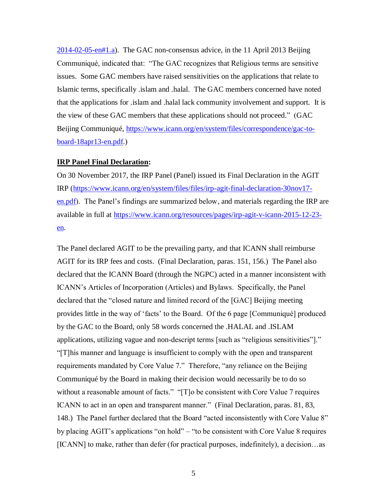2014-02-05-en#1.a). The GAC non-consensus advice, in the 11 April 2013 Beijing Communiqué, indicated that: "The GAC recognizes that Religious terms are sensitive issues. Some GAC members have raised sensitivities on the applications that relate to Islamic terms, specifically .islam and .halal. The GAC members concerned have noted that the applications for .islam and .halal lack community involvement and support. It is the view of these GAC members that these applications should not proceed." (GAC Beijing Communiqué, https://www.icann.org/en/system/files/correspondence/gac-toboard-18apr13-en.pdf.)

#### **IRP Panel Final Declaration:**

On 30 November 2017, the IRP Panel (Panel) issued its Final Declaration in the AGIT IRP (https://www.icann.org/en/system/files/files/irp-agit-final-declaration-30nov17 en.pdf). The Panel's findings are summarized below, and materials regarding the IRP are available in full at https://www.icann.org/resources/pages/irp-agit-v-icann-2015-12-23 en.

The Panel declared AGIT to be the prevailing party, and that ICANN shall reimburse AGIT for its IRP fees and costs. (Final Declaration, paras. 151, 156.) The Panel also declared that the ICANN Board (through the NGPC) acted in a manner inconsistent with ICANN's Articles of Incorporation (Articles) and Bylaws. Specifically, the Panel declared that the "closed nature and limited record of the [GAC] Beijing meeting provides little in the way of 'facts' to the Board. Of the 6 page [Communiqué] produced by the GAC to the Board, only 58 words concerned the .HALAL and .ISLAM applications, utilizing vague and non-descript terms [such as "religious sensitivities"]." "[T]his manner and language is insufficient to comply with the open and transparent requirements mandated by Core Value 7." Therefore, "any reliance on the Beijing Communiqué by the Board in making their decision would necessarily be to do so without a reasonable amount of facts." "[T]o be consistent with Core Value 7 requires ICANN to act in an open and transparent manner." (Final Declaration, paras. 81, 83, 148.) The Panel further declared that the Board "acted inconsistently with Core Value 8" by placing AGIT's applications "on hold" – "to be consistent with Core Value 8 requires [ICANN] to make, rather than defer (for practical purposes, indefinitely), a decision...as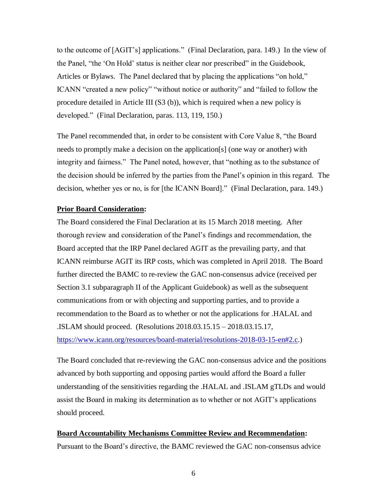to the outcome of [AGIT's] applications." (Final Declaration, para. 149.) In the view of the Panel, "the 'On Hold' status is neither clear nor prescribed" in the Guidebook, Articles or Bylaws. The Panel declared that by placing the applications "on hold," ICANN "created a new policy" "without notice or authority" and "failed to follow the procedure detailed in Article III (S3 (b)), which is required when a new policy is developed." (Final Declaration, paras. 113, 119, 150.)

The Panel recommended that, in order to be consistent with Core Value 8, "the Board needs to promptly make a decision on the application[s] (one way or another) with integrity and fairness." The Panel noted, however, that "nothing as to the substance of the decision should be inferred by the parties from the Panel's opinion in this regard. The decision, whether yes or no, is for [the ICANN Board]." (Final Declaration, para. 149.)

#### **Prior Board Consideration:**

The Board considered the Final Declaration at its 15 March 2018 meeting. After thorough review and consideration of the Panel's findings and recommendation, the Board accepted that the IRP Panel declared AGIT as the prevailing party, and that ICANN reimburse AGIT its IRP costs, which was completed in April 2018. The Board further directed the BAMC to re-review the GAC non-consensus advice (received per Section 3.1 subparagraph II of the Applicant Guidebook) as well as the subsequent communications from or with objecting and supporting parties, and to provide a recommendation to the Board as to whether or not the applications for .HALAL and .ISLAM should proceed. (Resolutions 2018.03.15.15 – 2018.03.15.17, https://www.icann.org/resources/board-material/resolutions-2018-03-15-en#2.c.)

The Board concluded that re-reviewing the GAC non-consensus advice and the positions advanced by both supporting and opposing parties would afford the Board a fuller understanding of the sensitivities regarding the .HALAL and .ISLAM gTLDs and would assist the Board in making its determination as to whether or not AGIT's applications should proceed.

# **Board Accountability Mechanisms Committee Review and Recommendation:** Pursuant to the Board's directive, the BAMC reviewed the GAC non-consensus advice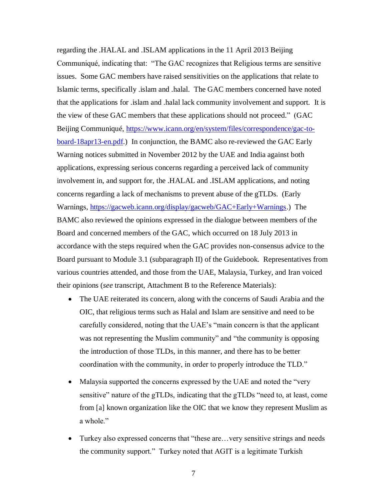regarding the .HALAL and .ISLAM applications in the 11 April 2013 Beijing Communiqué, indicating that: "The GAC recognizes that Religious terms are sensitive issues. Some GAC members have raised sensitivities on the applications that relate to Islamic terms, specifically .islam and .halal. The GAC members concerned have noted that the applications for .islam and .halal lack community involvement and support. It is the view of these GAC members that these applications should not proceed." (GAC Beijing Communiqué, https://www.icann.org/en/system/files/correspondence/gac-toboard-18apr13-en.pdf.) In conjunction, the BAMC also re-reviewed the GAC Early Warning notices submitted in November 2012 by the UAE and India against both applications, expressing serious concerns regarding a perceived lack of community involvement in, and support for, the .HALAL and .ISLAM applications, and noting concerns regarding a lack of mechanisms to prevent abuse of the gTLDs. (Early Warnings, https://gacweb.icann.org/display/gacweb/GAC+Early+Warnings.) The BAMC also reviewed the opinions expressed in the dialogue between members of the Board and concerned members of the GAC, which occurred on 18 July 2013 in accordance with the steps required when the GAC provides non-consensus advice to the Board pursuant to Module 3.1 (subparagraph II) of the Guidebook. Representatives from various countries attended, and those from the UAE, Malaysia, Turkey, and Iran voiced their opinions (*see* transcript, Attachment B to the Reference Materials):

- The UAE reiterated its concern, along with the concerns of Saudi Arabia and the OIC, that religious terms such as Halal and Islam are sensitive and need to be carefully considered, noting that the UAE's "main concern is that the applicant was not representing the Muslim community" and "the community is opposing the introduction of those TLDs, in this manner, and there has to be better coordination with the community, in order to properly introduce the TLD."
- Malaysia supported the concerns expressed by the UAE and noted the "very" sensitive" nature of the gTLDs, indicating that the gTLDs "need to, at least, come from [a] known organization like the OIC that we know they represent Muslim as a whole."
- Turkey also expressed concerns that "these are... very sensitive strings and needs" the community support." Turkey noted that AGIT is a legitimate Turkish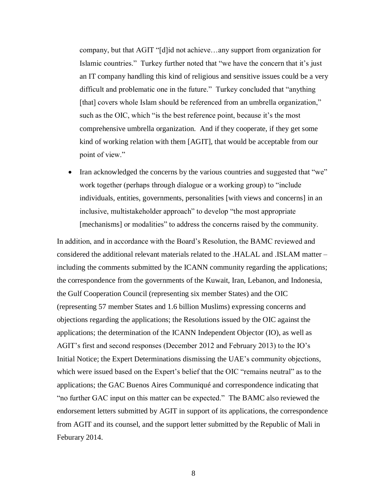company, but that AGIT "[d]id not achieve…any support from organization for Islamic countries." Turkey further noted that "we have the concern that it's just an IT company handling this kind of religious and sensitive issues could be a very difficult and problematic one in the future." Turkey concluded that "anything [that] covers whole Islam should be referenced from an umbrella organization," such as the OIC, which "is the best reference point, because it's the most comprehensive umbrella organization. And if they cooperate, if they get some kind of working relation with them [AGIT], that would be acceptable from our point of view."

• Iran acknowledged the concerns by the various countries and suggested that "we" work together (perhaps through dialogue or a working group) to "include individuals, entities, governments, personalities [with views and concerns] in an inclusive, multistakeholder approach" to develop "the most appropriate [mechanisms] or modalities" to address the concerns raised by the community.

In addition, and in accordance with the Board's Resolution, the BAMC reviewed and considered the additional relevant materials related to the .HALAL and .ISLAM matter – including the comments submitted by the ICANN community regarding the applications; the correspondence from the governments of the Kuwait, Iran, Lebanon, and Indonesia, the Gulf Cooperation Council (representing six member States) and the OIC (representing 57 member States and 1.6 billion Muslims) expressing concerns and objections regarding the applications; the Resolutions issued by the OIC against the applications; the determination of the ICANN Independent Objector (IO), as well as AGIT's first and second responses (December 2012 and February 2013) to the IO's Initial Notice; the Expert Determinations dismissing the UAE's community objections, which were issued based on the Expert's belief that the OIC "remains neutral" as to the applications; the GAC Buenos Aires Communiqué and correspondence indicating that "no further GAC input on this matter can be expected." The BAMC also reviewed the endorsement letters submitted by AGIT in support of its applications, the correspondence from AGIT and its counsel, and the support letter submitted by the Republic of Mali in Feburary 2014.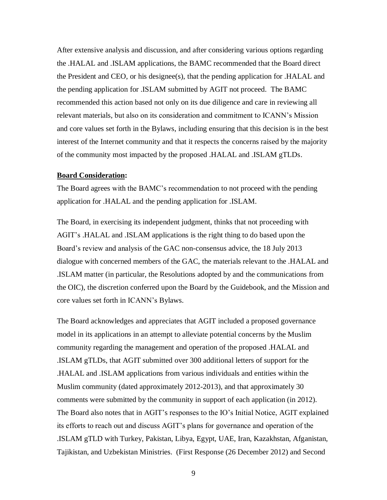After extensive analysis and discussion, and after considering various options regarding the .HALAL and .ISLAM applications, the BAMC recommended that the Board direct the President and CEO, or his designee(s), that the pending application for .HALAL and the pending application for .ISLAM submitted by AGIT not proceed. The BAMC recommended this action based not only on its due diligence and care in reviewing all relevant materials, but also on its consideration and commitment to ICANN's Mission and core values set forth in the Bylaws, including ensuring that this decision is in the best interest of the Internet community and that it respects the concerns raised by the majority of the community most impacted by the proposed .HALAL and .ISLAM gTLDs.

#### **Board Consideration:**

The Board agrees with the BAMC's recommendation to not proceed with the pending application for .HALAL and the pending application for .ISLAM.

The Board, in exercising its independent judgment, thinks that not proceeding with AGIT's .HALAL and .ISLAM applications is the right thing to do based upon the Board's review and analysis of the GAC non-consensus advice, the 18 July 2013 dialogue with concerned members of the GAC, the materials relevant to the .HALAL and .ISLAM matter (in particular, the Resolutions adopted by and the communications from the OIC), the discretion conferred upon the Board by the Guidebook, and the Mission and core values set forth in ICANN's Bylaws.

The Board acknowledges and appreciates that AGIT included a proposed governance model in its applications in an attempt to alleviate potential concerns by the Muslim community regarding the management and operation of the proposed .HALAL and .ISLAM gTLDs, that AGIT submitted over 300 additional letters of support for the .HALAL and .ISLAM applications from various individuals and entities within the Muslim community (dated approximately 2012-2013), and that approximately 30 comments were submitted by the community in support of each application (in 2012). The Board also notes that in AGIT's responses to the IO's Initial Notice, AGIT explained its efforts to reach out and discuss AGIT's plans for governance and operation of the .ISLAM gTLD with Turkey, Pakistan, Libya, Egypt, UAE, Iran, Kazakhstan, Afganistan, Tajikistan, and Uzbekistan Ministries. (First Response (26 December 2012) and Second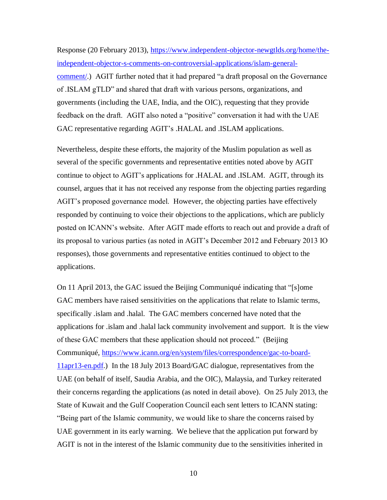Response (20 February 2013), https://www.independent-objector-newgtlds.org/home/theindependent-objector-s-comments-on-controversial-applications/islam-generalcomment/.) AGIT further noted that it had prepared "a draft proposal on the Governance of .ISLAM gTLD" and shared that draft with various persons, organizations, and governments (including the UAE, India, and the OIC), requesting that they provide feedback on the draft. AGIT also noted a "positive" conversation it had with the UAE GAC representative regarding AGIT's .HALAL and .ISLAM applications.

Nevertheless, despite these efforts, the majority of the Muslim population as well as several of the specific governments and representative entities noted above by AGIT continue to object to AGIT's applications for .HALAL and .ISLAM. AGIT, through its counsel, argues that it has not received any response from the objecting parties regarding AGIT's proposed governance model. However, the objecting parties have effectively responded by continuing to voice their objections to the applications, which are publicly posted on ICANN's website. After AGIT made efforts to reach out and provide a draft of its proposal to various parties (as noted in AGIT's December 2012 and February 2013 IO responses), those governments and representative entities continued to object to the applications.

On 11 April 2013, the GAC issued the Beijing Communiqué indicating that "[s]ome GAC members have raised sensitivities on the applications that relate to Islamic terms, specifically .islam and .halal. The GAC members concerned have noted that the applications for .islam and .halal lack community involvement and support. It is the view of these GAC members that these application should not proceed." (Beijing Communiqué, https://www.icann.org/en/system/files/correspondence/gac-to-board-11apr13-en.pdf.) In the 18 July 2013 Board/GAC dialogue, representatives from the UAE (on behalf of itself, Saudia Arabia, and the OIC), Malaysia, and Turkey reiterated their concerns regarding the applications (as noted in detail above). On 25 July 2013, the State of Kuwait and the Gulf Cooperation Council each sent letters to ICANN stating: "Being part of the Islamic community, we would like to share the concerns raised by UAE government in its early warning. We believe that the application put forward by AGIT is not in the interest of the Islamic community due to the sensitivities inherited in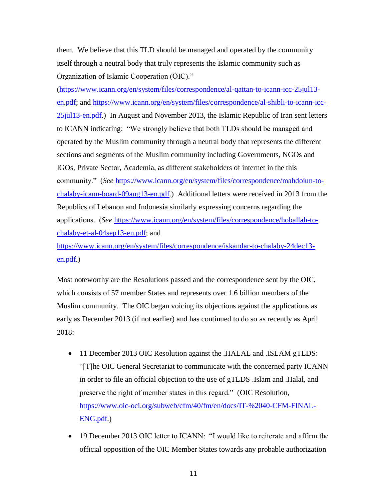them. We believe that this TLD should be managed and operated by the community itself through a neutral body that truly represents the Islamic community such as Organization of Islamic Cooperation (OIC)."

(https://www.icann.org/en/system/files/correspondence/al-qattan-to-icann-icc-25jul13 en.pdf; and https://www.icann.org/en/system/files/correspondence/al-shibli-to-icann-icc-25jul13-en.pdf.) In August and November 2013, the Islamic Republic of Iran sent letters to ICANN indicating: "We strongly believe that both TLDs should be managed and operated by the Muslim community through a neutral body that represents the different sections and segments of the Muslim community including Governments, NGOs and IGOs, Private Sector, Academia, as different stakeholders of internet in the this community." (*See* https://www.icann.org/en/system/files/correspondence/mahdoiun-tochalaby-icann-board-09aug13-en.pdf.) Additional letters were received in 2013 from the Republics of Lebanon and Indonesia similarly expressing concerns regarding the applications. (*See* https://www.icann.org/en/system/files/correspondence/hoballah-tochalaby-et-al-04sep13-en.pdf; and

https://www.icann.org/en/system/files/correspondence/iskandar-to-chalaby-24dec13 en.pdf.)

Most noteworthy are the Resolutions passed and the correspondence sent by the OIC, which consists of 57 member States and represents over 1.6 billion members of the Muslim community. The OIC began voicing its objections against the applications as early as December 2013 (if not earlier) and has continued to do so as recently as April 2018:

- 11 December 2013 OIC Resolution against the .HALAL and .ISLAM gTLDS: "[T]he OIC General Secretariat to communicate with the concerned party ICANN in order to file an official objection to the use of gTLDS .Islam and .Halal, and preserve the right of member states in this regard." (OIC Resolution, https://www.oic-oci.org/subweb/cfm/40/fm/en/docs/IT-%2040-CFM-FINAL-ENG.pdf.)
- 19 December 2013 OIC letter to ICANN: "I would like to reiterate and affirm the official opposition of the OIC Member States towards any probable authorization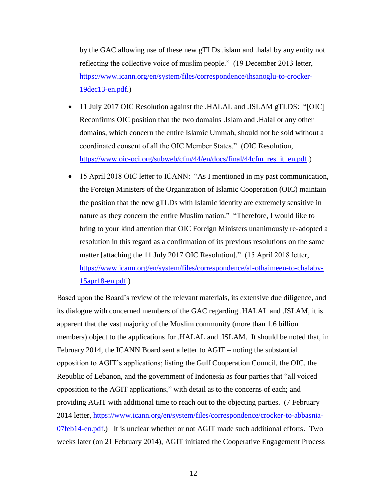by the GAC allowing use of these new gTLDs .islam and .halal by any entity not reflecting the collective voice of muslim people." (19 December 2013 letter, https://www.icann.org/en/system/files/correspondence/ihsanoglu-to-crocker-19dec13-en.pdf.)

- 11 July 2017 OIC Resolution against the .HALAL and .ISLAM gTLDS: "[OIC] Reconfirms OIC position that the two domains .Islam and .Halal or any other domains, which concern the entire Islamic Ummah, should not be sold without a coordinated consent of all the OIC Member States." (OIC Resolution, https://www.oic-oci.org/subweb/cfm/44/en/docs/final/44cfm\_res\_it\_en.pdf.)
- 15 April 2018 OIC letter to ICANN: "As I mentioned in my past communication, the Foreign Ministers of the Organization of Islamic Cooperation (OIC) maintain the position that the new gTLDs with Islamic identity are extremely sensitive in nature as they concern the entire Muslim nation." "Therefore, I would like to bring to your kind attention that OIC Foreign Ministers unanimously re-adopted a resolution in this regard as a confirmation of its previous resolutions on the same matter [attaching the 11 July 2017 OIC Resolution]." (15 April 2018 letter, https://www.icann.org/en/system/files/correspondence/al-othaimeen-to-chalaby-15apr18-en.pdf.)

Based upon the Board's review of the relevant materials, its extensive due diligence, and its dialogue with concerned members of the GAC regarding .HALAL and .ISLAM, it is apparent that the vast majority of the Muslim community (more than 1.6 billion members) object to the applications for .HALAL and .ISLAM. It should be noted that, in February 2014, the ICANN Board sent a letter to AGIT – noting the substantial opposition to AGIT's applications; listing the Gulf Cooperation Council, the OIC, the Republic of Lebanon, and the government of Indonesia as four parties that "all voiced opposition to the AGIT applications," with detail as to the concerns of each; and providing AGIT with additional time to reach out to the objecting parties. (7 February 2014 letter, https://www.icann.org/en/system/files/correspondence/crocker-to-abbasnia-07feb14-en.pdf.) It is unclear whether or not AGIT made such additional efforts. Two weeks later (on 21 February 2014), AGIT initiated the Cooperative Engagement Process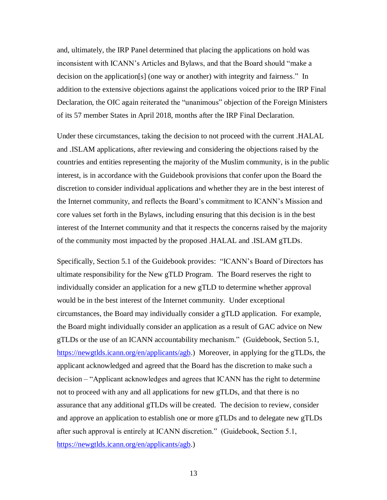and, ultimately, the IRP Panel determined that placing the applications on hold was inconsistent with ICANN's Articles and Bylaws, and that the Board should "make a decision on the application[s] (one way or another) with integrity and fairness." In addition to the extensive objections against the applications voiced prior to the IRP Final Declaration, the OIC again reiterated the "unanimous" objection of the Foreign Ministers of its 57 member States in April 2018, months after the IRP Final Declaration.

Under these circumstances, taking the decision to not proceed with the current .HALAL and .ISLAM applications, after reviewing and considering the objections raised by the countries and entities representing the majority of the Muslim community, is in the public interest, is in accordance with the Guidebook provisions that confer upon the Board the discretion to consider individual applications and whether they are in the best interest of the Internet community, and reflects the Board's commitment to ICANN's Mission and core values set forth in the Bylaws, including ensuring that this decision is in the best interest of the Internet community and that it respects the concerns raised by the majority of the community most impacted by the proposed .HALAL and .ISLAM gTLDs.

Specifically, Section 5.1 of the Guidebook provides: "ICANN's Board of Directors has ultimate responsibility for the New gTLD Program. The Board reserves the right to individually consider an application for a new gTLD to determine whether approval would be in the best interest of the Internet community. Under exceptional circumstances, the Board may individually consider a gTLD application. For example, the Board might individually consider an application as a result of GAC advice on New gTLDs or the use of an ICANN accountability mechanism." (Guidebook, Section 5.1, https://newgtlds.icann.org/en/applicants/agb.) Moreover, in applying for the gTLDs, the applicant acknowledged and agreed that the Board has the discretion to make such a decision – "Applicant acknowledges and agrees that ICANN has the right to determine not to proceed with any and all applications for new gTLDs, and that there is no assurance that any additional gTLDs will be created. The decision to review, consider and approve an application to establish one or more gTLDs and to delegate new gTLDs after such approval is entirely at ICANN discretion." (Guidebook, Section 5.1, https://newgtlds.icann.org/en/applicants/agb.)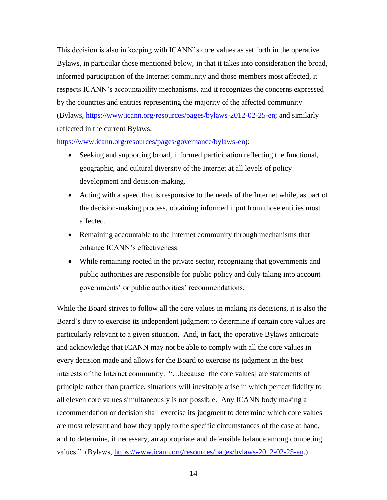This decision is also in keeping with ICANN's core values as set forth in the operative Bylaws, in particular those mentioned below, in that it takes into consideration the broad, informed participation of the Internet community and those members most affected, it respects ICANN's accountability mechanisms, and it recognizes the concerns expressed by the countries and entities representing the majority of the affected community (Bylaws, https://www.icann.org/resources/pages/bylaws-2012-02-25-en; and similarly reflected in the current Bylaws,

https://www.icann.org/resources/pages/governance/bylaws-en):

- Seeking and supporting broad, informed participation reflecting the functional, geographic, and cultural diversity of the Internet at all levels of policy development and decision-making.
- Acting with a speed that is responsive to the needs of the Internet while, as part of the decision-making process, obtaining informed input from those entities most affected.
- Remaining accountable to the Internet community through mechanisms that enhance ICANN's effectiveness.
- While remaining rooted in the private sector, recognizing that governments and public authorities are responsible for public policy and duly taking into account governments' or public authorities' recommendations.

While the Board strives to follow all the core values in making its decisions, it is also the Board's duty to exercise its independent judgment to determine if certain core values are particularly relevant to a given situation. And, in fact, the operative Bylaws anticipate and acknowledge that ICANN may not be able to comply with all the core values in every decision made and allows for the Board to exercise its judgment in the best interests of the Internet community: "…because [the core values] are statements of principle rather than practice, situations will inevitably arise in which perfect fidelity to all eleven core values simultaneously is not possible. Any ICANN body making a recommendation or decision shall exercise its judgment to determine which core values are most relevant and how they apply to the specific circumstances of the case at hand, and to determine, if necessary, an appropriate and defensible balance among competing values." (Bylaws, https://www.icann.org/resources/pages/bylaws-2012-02-25-en.)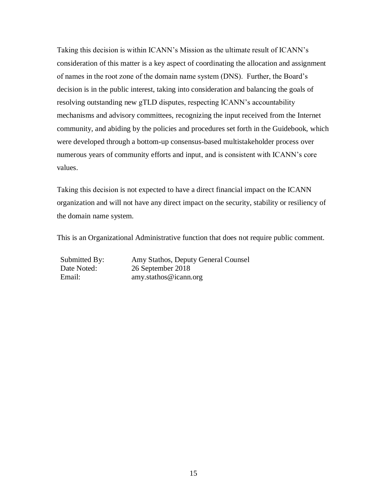Taking this decision is within ICANN's Mission as the ultimate result of ICANN's consideration of this matter is a key aspect of coordinating the allocation and assignment of names in the root zone of the domain name system (DNS). Further, the Board's decision is in the public interest, taking into consideration and balancing the goals of resolving outstanding new gTLD disputes, respecting ICANN's accountability mechanisms and advisory committees, recognizing the input received from the Internet community, and abiding by the policies and procedures set forth in the Guidebook, which were developed through a bottom-up consensus-based multistakeholder process over numerous years of community efforts and input, and is consistent with ICANN's core values.

Taking this decision is not expected to have a direct financial impact on the ICANN organization and will not have any direct impact on the security, stability or resiliency of the domain name system.

This is an Organizational Administrative function that does not require public comment.

Submitted By: Amy Stathos, Deputy General Counsel Date Noted: 26 September 2018 Email: amy.stathos@icann.org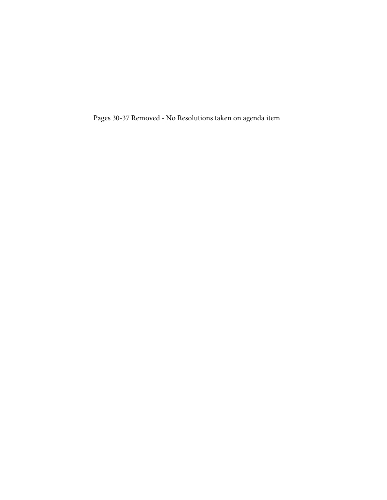Pages 30-37 Removed - No Resolutions taken on agenda item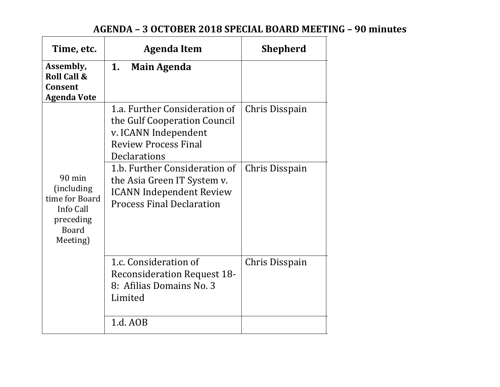# **AGENDA – 3 OCTOBER 2018 SPECIAL BOARD MEETING – 90 minutes**

| Time, etc.                                                                                      | <b>Agenda Item</b>                                                                                                                   | <b>Shepherd</b> |
|-------------------------------------------------------------------------------------------------|--------------------------------------------------------------------------------------------------------------------------------------|-----------------|
| Assembly,<br><b>Roll Call &amp;</b><br>Consent<br><b>Agenda Vote</b>                            | 1.<br><b>Main Agenda</b>                                                                                                             |                 |
|                                                                                                 | 1.a. Further Consideration of<br>the Gulf Cooperation Council<br>v. ICANN Independent<br><b>Review Process Final</b><br>Declarations | Chris Disspain  |
| $90$ min<br>(including)<br>time for Board<br>Info Call<br>preceding<br><b>Board</b><br>Meeting) | 1.b. Further Consideration of<br>the Asia Green IT System v.<br><b>ICANN</b> Independent Review<br><b>Process Final Declaration</b>  | Chris Disspain  |
|                                                                                                 | 1.c. Consideration of<br><b>Reconsideration Request 18-</b><br>8: Afilias Domains No. 3<br>Limited                                   | Chris Disspain  |
|                                                                                                 | 1.d. AOB                                                                                                                             |                 |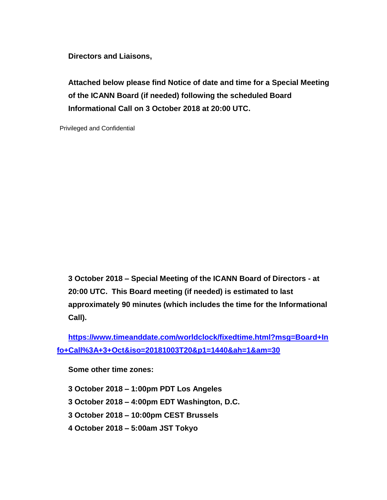**Directors and Liaisons,**

**Attached below please find Notice of date and time for a Special Meeting of the ICANN Board (if needed) following the scheduled Board Informational Call on 3 October 2018 at 20:00 UTC.**

Privileged and Confidential

**3 October 2018 – Special Meeting of the ICANN Board of Directors - at 20:00 UTC. This Board meeting (if needed) is estimated to last approximately 90 minutes (which includes the time for the Informational Call).**

**https://www.timeanddate.com/worldclock/fixedtime.html?msg=Board+In fo+Call%3A+3+Oct&iso=20181003T20&p1=1440&ah=1&am=30**

**Some other time zones:**

 **October 2018 – 1:00pm PDT Los Angeles October 2018 – 4:00pm EDT Washington, D.C. October 2018 – 10:00pm CEST Brussels October 2018 – 5:00am JST Tokyo**